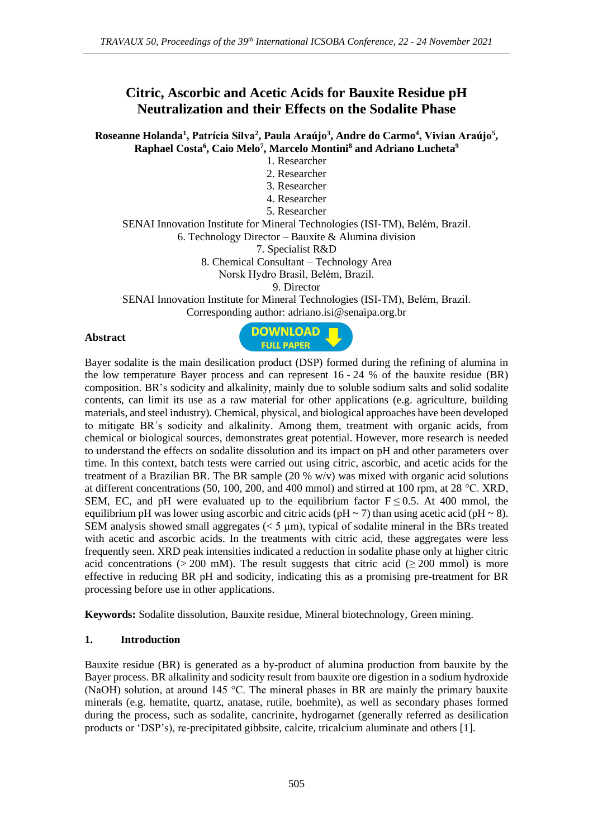# **Citric, Ascorbic and Acetic Acids for Bauxite Residue pH Neutralization and their Effects on the Sodalite Phase**

**Roseanne Holanda<sup>1</sup> , Patrícia Silva<sup>2</sup> , Paula Araújo<sup>3</sup> , Andre do Carmo<sup>4</sup> , Vivian Araújo<sup>5</sup> , Raphael Costa<sup>6</sup> , Caio Melo<sup>7</sup> , Marcelo Montini<sup>8</sup> and Adriano Lucheta<sup>9</sup>**

- 1. Researcher
- 2. Researcher
- 3. Researcher
- 4. Researcher
- 5. Researcher

SENAI Innovation Institute for Mineral Technologies (ISI-TM), Belém, Brazil.

6. Technology Director – Bauxite & Alumina division

7. Specialist R&D

8. Chemical Consultant – Technology Area

Norsk Hydro Brasil, Belém, Brazil.

9. Director

SENAI Innovation Institute for Mineral Technologies (ISI-TM), Belém, Brazil. Corresponding author: adriano.isi@senaipa.org.br

#### **Abstract**



Bayer sodalite is the main desilication product (DSP) formed during the refining of alumina in the low temperature Bayer process and can represent 16 - 24 % of the bauxite residue (BR) composition. BR's sodicity and alkalinity, mainly due to soluble sodium salts and solid sodalite contents, can limit its use as a raw material for other applications (e.g. agriculture, building materials, and steel industry). Chemical, physical, and biological approaches have been developed to mitigate BR´s sodicity and alkalinity. Among them, treatment with organic acids, from chemical or biological sources, demonstrates great potential. However, more research is needed to understand the effects on sodalite dissolution and its impact on pH and other parameters over time. In this context, batch tests were carried out using citric, ascorbic, and acetic acids for the treatment of a Brazilian BR. The BR sample (20  $\%$  w/v) was mixed with organic acid solutions at different concentrations (50, 100, 200, and 400 mmol) and stirred at 100 rpm, at 28 °C. XRD, SEM, EC, and pH were evaluated up to the equilibrium factor  $F \le 0.5$ . At 400 mmol, the equilibrium pH was lower using ascorbic and citric acids (pH  $\sim$  7) than using acetic acid (pH  $\sim$  8). SEM analysis showed small aggregates  $(< 5 \mu m)$ , typical of sodalite mineral in the BRs treated with acetic and ascorbic acids. In the treatments with citric acid, these aggregates were less frequently seen. XRD peak intensities indicated a reduction in sodalite phase only at higher citric acid concentrations (> 200 mM). The result suggests that citric acid ( $\geq$  200 mmol) is more effective in reducing BR pH and sodicity, indicating this as a promising pre-treatment for BR processing before use in other applications.

**Keywords:** Sodalite dissolution, Bauxite residue, Mineral biotechnology, Green mining.

### **1. Introduction**

Bauxite residue (BR) is generated as a by-product of alumina production from bauxite by the Bayer process. BR alkalinity and sodicity result from bauxite ore digestion in a sodium hydroxide (NaOH) solution, at around 145 °C. The mineral phases in BR are mainly the primary bauxite minerals (e.g. hematite, quartz, anatase, rutile, boehmite), as well as secondary phases formed during the process, such as sodalite, cancrinite, hydrogarnet (generally referred as desilication products or 'DSP's), re-precipitated gibbsite, calcite, tricalcium aluminate and others [1].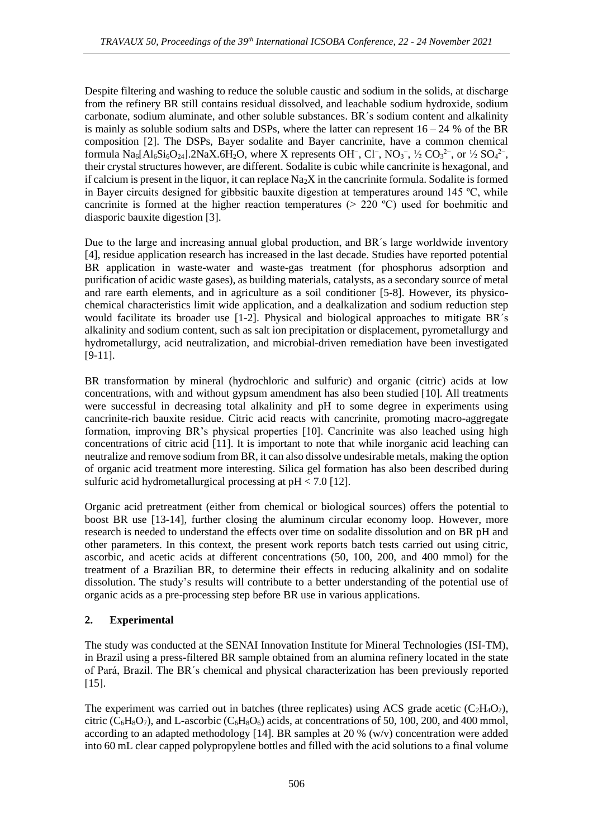Despite filtering and washing to reduce the soluble caustic and sodium in the solids, at discharge from the refinery BR still contains residual dissolved, and leachable sodium hydroxide, sodium carbonate, sodium aluminate, and other soluble substances. BR´s sodium content and alkalinity is mainly as soluble sodium salts and DSPs, where the latter can represent  $16 - 24$  % of the BR composition [2]. The DSPs, Bayer sodalite and Bayer cancrinite, have a common chemical formula  $\text{Na}_6[\text{Al}_6\text{Si}_6\text{O}_{24}]$ .2NaX.6H<sub>2</sub>O, where X represents OH<sup>-</sup>, Cl<sup>-</sup>, NO<sub>3</sub><sup>-</sup>, ½ CO<sub>3</sub><sup>2-</sup>, or ½ SO<sub>4</sub><sup>2-</sup>, their crystal structures however, are different. Sodalite is cubic while cancrinite is hexagonal, and if calcium is present in the liquor, it can replace  $\text{Na}_2\text{X}$  in the cancrinite formula. Sodalite is formed in Bayer circuits designed for gibbsitic bauxite digestion at temperatures around 145 ºC, while cancrinite is formed at the higher reaction temperatures ( $> 220$  °C) used for boehmitic and diasporic bauxite digestion [3].

Due to the large and increasing annual global production, and BR´s large worldwide inventory [4], residue application research has increased in the last decade. Studies have reported potential BR application in waste-water and waste-gas treatment (for phosphorus adsorption and purification of acidic waste gases), as building materials, catalysts, as a secondary source of metal and rare earth elements, and in agriculture as a soil conditioner [5-8]. However, its physicochemical characteristics limit wide application, and a dealkalization and sodium reduction step would facilitate its broader use [1-2]. Physical and biological approaches to mitigate BR´s alkalinity and sodium content, such as salt ion precipitation or displacement, pyrometallurgy and hydrometallurgy, acid neutralization, and microbial-driven remediation have been investigated  $[9-11]$ .

BR transformation by mineral (hydrochloric and sulfuric) and organic (citric) acids at low concentrations, with and without gypsum amendment has also been studied [10]. All treatments were successful in decreasing total alkalinity and pH to some degree in experiments using cancrinite-rich bauxite residue. Citric acid reacts with cancrinite, promoting macro-aggregate formation, improving BR's physical properties [10]. Cancrinite was also leached using high concentrations of citric acid [11]. It is important to note that while inorganic acid leaching can neutralize and remove sodium from BR, it can also dissolve undesirable metals, making the option of organic acid treatment more interesting. Silica gel formation has also been described during sulfuric acid hydrometallurgical processing at  $pH < 7.0$  [12].

Organic acid pretreatment (either from chemical or biological sources) offers the potential to boost BR use [13-14], further closing the aluminum circular economy loop. However, more research is needed to understand the effects over time on sodalite dissolution and on BR pH and other parameters. In this context, the present work reports batch tests carried out using citric, ascorbic, and acetic acids at different concentrations (50, 100, 200, and 400 mmol) for the treatment of a Brazilian BR, to determine their effects in reducing alkalinity and on sodalite dissolution. The study's results will contribute to a better understanding of the potential use of organic acids as a pre-processing step before BR use in various applications.

## **2. Experimental**

The study was conducted at the SENAI Innovation Institute for Mineral Technologies (ISI-TM), in Brazil using a press-filtered BR sample obtained from an alumina refinery located in the state of Pará, Brazil. The BR´s chemical and physical characterization has been previously reported [15].

The experiment was carried out in batches (three replicates) using ACS grade acetic  $(C_2H_4O_2)$ , citric  $(C_6H_8O_7)$ , and L-ascorbic  $(C_6H_8O_6)$  acids, at concentrations of 50, 100, 200, and 400 mmol, according to an adapted methodology [14]. BR samples at 20  $%$  (w/v) concentration were added into 60 mL clear capped polypropylene bottles and filled with the acid solutions to a final volume